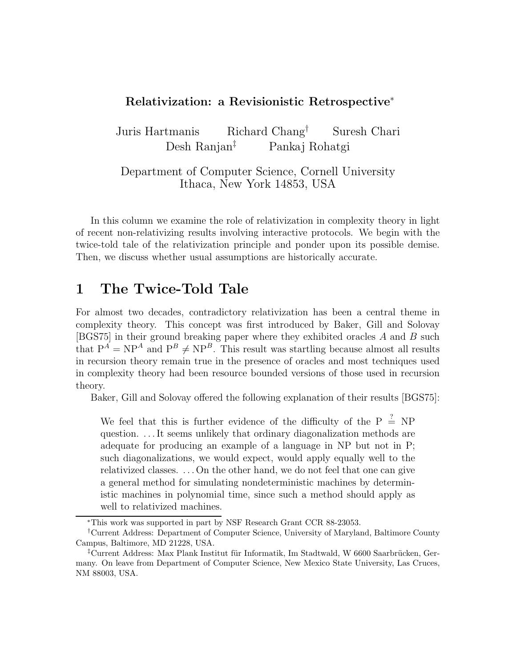#### Relativization: a Revisionistic Retrospective<sup>∗</sup>

Juris Hartmanis Richard Chang† Suresh Chari Desh Ranjan‡ Pankaj Rohatgi

Department of Computer Science, Cornell University Ithaca, New York 14853, USA

In this column we examine the role of relativization in complexity theory in light of recent non-relativizing results involving interactive protocols. We begin with the twice-told tale of the relativization principle and ponder upon its possible demise. Then, we discuss whether usual assumptions are historically accurate.

# 1 The Twice-Told Tale

For almost two decades, contradictory relativization has been a central theme in complexity theory. This concept was first introduced by Baker, Gill and Solovay [BGS75] in their ground breaking paper where they exhibited oracles A and B such that  $P^A = NP^A$  and  $P^B \ne NP^B$ . This result was startling because almost all results in recursion theory remain true in the presence of oracles and most techniques used in complexity theory had been resource bounded versions of those used in recursion theory.

Baker, Gill and Solovay offered the following explanation of their results [BGS75]:

We feel that this is further evidence of the difficulty of the P  $\stackrel{?}{=}$  NP question. . . . It seems unlikely that ordinary diagonalization methods are adequate for producing an example of a language in NP but not in P; such diagonalizations, we would expect, would apply equally well to the relativized classes. . . . On the other hand, we do not feel that one can give a general method for simulating nondeterministic machines by deterministic machines in polynomial time, since such a method should apply as well to relativized machines.

<sup>∗</sup>This work was supported in part by NSF Research Grant CCR 88-23053.

<sup>†</sup>Current Address: Department of Computer Science, University of Maryland, Baltimore County Campus, Baltimore, MD 21228, USA.

<sup>&</sup>lt;sup>‡</sup>Current Address: Max Plank Institut für Informatik, Im Stadtwald, W 6600 Saarbrücken, Germany. On leave from Department of Computer Science, New Mexico State University, Las Cruces, NM 88003, USA.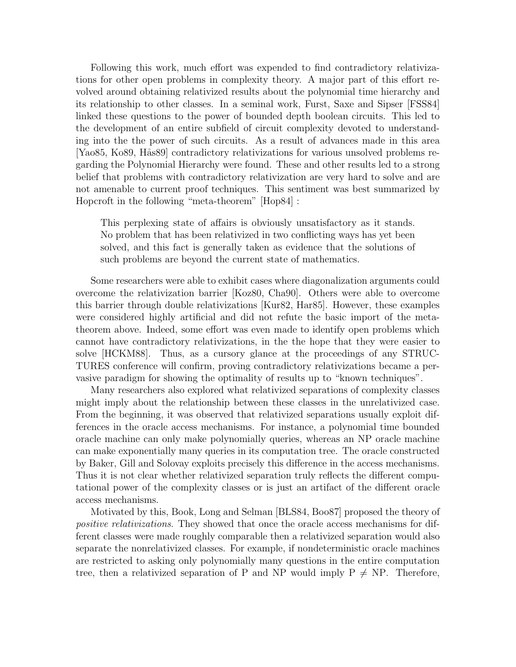Following this work, much effort was expended to find contradictory relativizations for other open problems in complexity theory. A major part of this effort revolved around obtaining relativized results about the polynomial time hierarchy and its relationship to other classes. In a seminal work, Furst, Saxe and Sipser [FSS84] linked these questions to the power of bounded depth boolean circuits. This led to the development of an entire subfield of circuit complexity devoted to understanding into the the power of such circuits. As a result of advances made in this area [Yao85, Ko89, Hås89] contradictory relativizations for various unsolved problems regarding the Polynomial Hierarchy were found. These and other results led to a strong belief that problems with contradictory relativization are very hard to solve and are not amenable to current proof techniques. This sentiment was best summarized by Hopcroft in the following "meta-theorem" [Hop84] :

This perplexing state of affairs is obviously unsatisfactory as it stands. No problem that has been relativized in two conflicting ways has yet been solved, and this fact is generally taken as evidence that the solutions of such problems are beyond the current state of mathematics.

Some researchers were able to exhibit cases where diagonalization arguments could overcome the relativization barrier [Koz80, Cha90]. Others were able to overcome this barrier through double relativizations [Kur82, Har85]. However, these examples were considered highly artificial and did not refute the basic import of the metatheorem above. Indeed, some effort was even made to identify open problems which cannot have contradictory relativizations, in the the hope that they were easier to solve [HCKM88]. Thus, as a cursory glance at the proceedings of any STRUC-TURES conference will confirm, proving contradictory relativizations became a pervasive paradigm for showing the optimality of results up to "known techniques".

Many researchers also explored what relativized separations of complexity classes might imply about the relationship between these classes in the unrelativized case. From the beginning, it was observed that relativized separations usually exploit differences in the oracle access mechanisms. For instance, a polynomial time bounded oracle machine can only make polynomially queries, whereas an NP oracle machine can make exponentially many queries in its computation tree. The oracle constructed by Baker, Gill and Solovay exploits precisely this difference in the access mechanisms. Thus it is not clear whether relativized separation truly reflects the different computational power of the complexity classes or is just an artifact of the different oracle access mechanisms.

Motivated by this, Book, Long and Selman [BLS84, Boo87] proposed the theory of positive relativizations. They showed that once the oracle access mechanisms for different classes were made roughly comparable then a relativized separation would also separate the nonrelativized classes. For example, if nondeterministic oracle machines are restricted to asking only polynomially many questions in the entire computation tree, then a relativized separation of P and NP would imply  $P \neq NP$ . Therefore,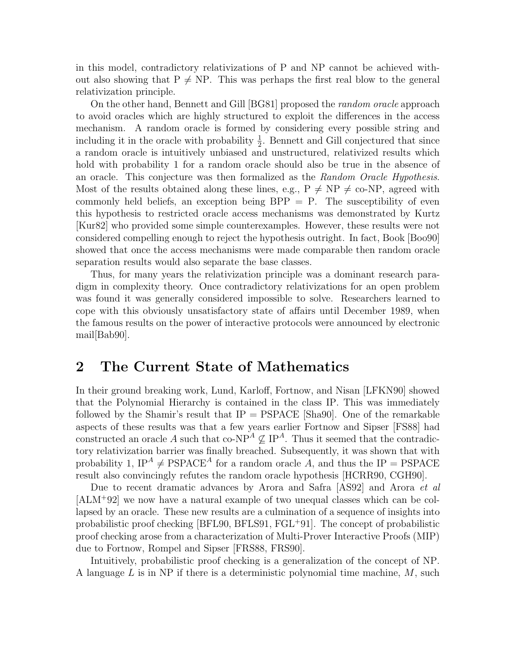in this model, contradictory relativizations of P and NP cannot be achieved without also showing that  $P \neq NP$ . This was perhaps the first real blow to the general relativization principle.

On the other hand, Bennett and Gill [BG81] proposed the random oracle approach to avoid oracles which are highly structured to exploit the differences in the access mechanism. A random oracle is formed by considering every possible string and including it in the oracle with probability  $\frac{1}{2}$ . Bennett and Gill conjectured that since a random oracle is intuitively unbiased and unstructured, relativized results which hold with probability 1 for a random oracle should also be true in the absence of an oracle. This conjecture was then formalized as the Random Oracle Hypothesis. Most of the results obtained along these lines, e.g.,  $P \neq NP \neq$  co-NP, agreed with commonly held beliefs, an exception being  $BPP = P$ . The susceptibility of even this hypothesis to restricted oracle access mechanisms was demonstrated by Kurtz [Kur82] who provided some simple counterexamples. However, these results were not considered compelling enough to reject the hypothesis outright. In fact, Book [Boo90] showed that once the access mechanisms were made comparable then random oracle separation results would also separate the base classes.

Thus, for many years the relativization principle was a dominant research paradigm in complexity theory. Once contradictory relativizations for an open problem was found it was generally considered impossible to solve. Researchers learned to cope with this obviously unsatisfactory state of affairs until December 1989, when the famous results on the power of interactive protocols were announced by electronic mail[Bab90].

### 2 The Current State of Mathematics

In their ground breaking work, Lund, Karloff, Fortnow, and Nisan [LFKN90] showed that the Polynomial Hierarchy is contained in the class IP. This was immediately followed by the Shamir's result that  $IP = PSPACE$  [Sha90]. One of the remarkable aspects of these results was that a few years earlier Fortnow and Sipser [FS88] had constructed an oracle A such that co-NP<sup>A</sup>  $\not\subseteq$  IP<sup>A</sup>. Thus it seemed that the contradictory relativization barrier was finally breached. Subsequently, it was shown that with probability 1,  $IP^A \neq PSPACE^A$  for a random oracle A, and thus the IP = PSPACE result also convincingly refutes the random oracle hypothesis [HCRR90, CGH90].

Due to recent dramatic advances by Arora and Safra [AS92] and Arora et al [ALM<sup>+</sup>92] we now have a natural example of two unequal classes which can be collapsed by an oracle. These new results are a culmination of a sequence of insights into probabilistic proof checking [BFL90, BFLS91, FGL<sup>+</sup>91]. The concept of probabilistic proof checking arose from a characterization of Multi-Prover Interactive Proofs (MIP) due to Fortnow, Rompel and Sipser [FRS88, FRS90].

Intuitively, probabilistic proof checking is a generalization of the concept of NP. A language L is in NP if there is a deterministic polynomial time machine,  $M$ , such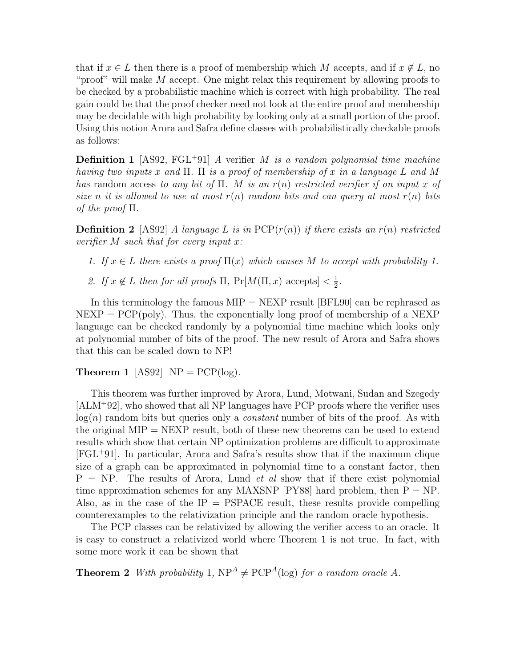that if  $x \in L$  then there is a proof of membership which M accepts, and if  $x \notin L$ , no "proof" will make  $M$  accept. One might relax this requirement by allowing proofs to be checked by a probabilistic machine which is correct with high probability. The real gain could be that the proof checker need not look at the entire proof and membership may be decidable with high probability by looking only at a small portion of the proof. Using this notion Arora and Safra define classes with probabilistically checkable proofs as follows:

**Definition 1** [AS92, FGL<sup>+</sup>91] A verifier M is a random polynomial time machine having two inputs x and  $\Pi$ .  $\Pi$  is a proof of membership of x in a language L and M has random access to any bit of  $\Pi$ . M is an  $r(n)$  restricted verifier if on input x of size n it is allowed to use at most  $r(n)$  random bits and can query at most  $r(n)$  bits of the proof  $\Pi$ .

**Definition 2** [AS92] A language L is in  $PCP(r(n))$  if there exists an  $r(n)$  restricted verifier  $M$  such that for every input  $x$ :

- 1. If  $x \in L$  there exists a proof  $\Pi(x)$  which causes M to accept with probability 1.
- 2. If  $x \notin L$  then for all proofs  $\Pi$ ,  $Pr[M(\Pi, x)$  accepts  $] < \frac{1}{2}$  $\frac{1}{2}$ .

In this terminology the famous  $MIP = NEXP$  result [BFL90] can be rephrased as  $NEXP = PCP(poly)$ . Thus, the exponentially long proof of membership of a NEXP language can be checked randomly by a polynomial time machine which looks only at polynomial number of bits of the proof. The new result of Arora and Safra shows that this can be scaled down to NP!

#### **Theorem 1** [AS92]  $NP = PCP(log)$ .

This theorem was further improved by Arora, Lund, Motwani, Sudan and Szegedy [ALM<sup>+</sup>92], who showed that all NP languages have PCP proofs where the verifier uses  $log(n)$  random bits but queries only a *constant* number of bits of the proof. As with the original  $MIP = NEXP$  result, both of these new theorems can be used to extend results which show that certain NP optimization problems are difficult to approximate [FGL<sup>+</sup>91]. In particular, Arora and Safra's results show that if the maximum clique size of a graph can be approximated in polynomial time to a constant factor, then  $P = NP$ . The results of Arora, Lund *et al* show that if there exist polynomial time approximation schemes for any MAXSNP [PY88] hard problem, then  $P = NP$ . Also, as in the case of the  $IP = PSPACE$  result, these results provide compelling counterexamples to the relativization principle and the random oracle hypothesis.

The PCP classes can be relativized by allowing the verifier access to an oracle. It is easy to construct a relativized world where Theorem 1 is not true. In fact, with some more work it can be shown that

**Theorem 2** With probability 1,  $NP^A \neq PCP^A(\log)$  for a random oracle A.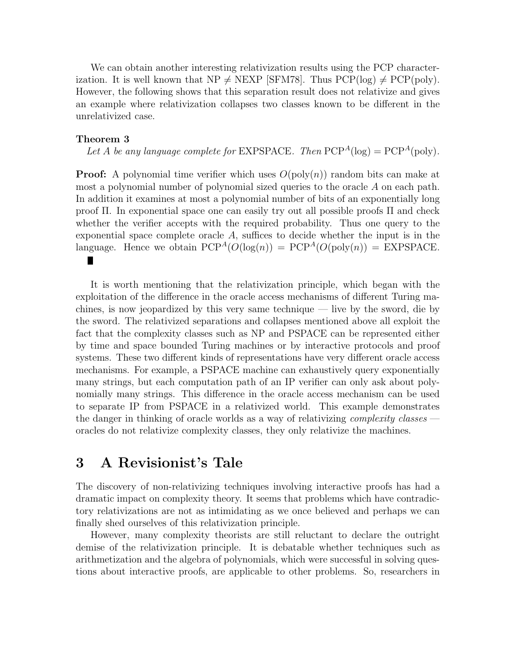We can obtain another interesting relativization results using the PCP characterization. It is well known that  $NP \neq NEXP$  [SFM78]. Thus  $PCP(\log) \neq PCP(\text{poly})$ . However, the following shows that this separation result does not relativize and gives an example where relativization collapses two classes known to be different in the unrelativized case.

#### Theorem 3

Let A be any language complete for EXPSPACE. Then  $PCP^A(log) = PCP^A(poly)$ .

**Proof:** A polynomial time verifier which uses  $O(\text{poly}(n))$  random bits can make at most a polynomial number of polynomial sized queries to the oracle A on each path. In addition it examines at most a polynomial number of bits of an exponentially long proof Π. In exponential space one can easily try out all possible proofs Π and check whether the verifier accepts with the required probability. Thus one query to the exponential space complete oracle  $A$ , suffices to decide whether the input is in the language. Hence we obtain  $PCP^A(O(\log(n)) = PCP^A(O(\text{poly}(n))) = EXPSPACE$ .

It is worth mentioning that the relativization principle, which began with the exploitation of the difference in the oracle access mechanisms of different Turing machines, is now jeopardized by this very same technique — live by the sword, die by the sword. The relativized separations and collapses mentioned above all exploit the fact that the complexity classes such as NP and PSPACE can be represented either by time and space bounded Turing machines or by interactive protocols and proof systems. These two different kinds of representations have very different oracle access mechanisms. For example, a PSPACE machine can exhaustively query exponentially many strings, but each computation path of an IP verifier can only ask about polynomially many strings. This difference in the oracle access mechanism can be used to separate IP from PSPACE in a relativized world. This example demonstrates the danger in thinking of oracle worlds as a way of relativizing *complexity classes* oracles do not relativize complexity classes, they only relativize the machines.

## 3 A Revisionist's Tale

The discovery of non-relativizing techniques involving interactive proofs has had a dramatic impact on complexity theory. It seems that problems which have contradictory relativizations are not as intimidating as we once believed and perhaps we can finally shed ourselves of this relativization principle.

However, many complexity theorists are still reluctant to declare the outright demise of the relativization principle. It is debatable whether techniques such as arithmetization and the algebra of polynomials, which were successful in solving questions about interactive proofs, are applicable to other problems. So, researchers in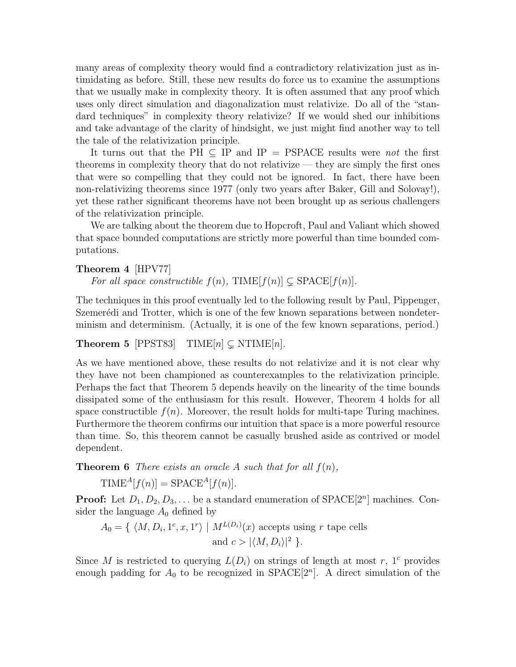many areas of complexity theory would find a contradictory relativization just as intimidating as before. Still, these new results do force us to examine the assumptions that we usually make in complexity theory. It is often assumed that any proof which uses only direct simulation and diagonalization must relativize. Do all of the "standard techniques" in complexity theory relativize? If we would shed our inhibitions and take advantage of the clarity of hindsight, we just might find another way to tell the tale of the relativization principle.

It turns out that the PH  $\subseteq$  IP and IP = PSPACE results were *not* the first theorems in complexity theory that do not relativize — they are simply the first ones that were so compelling that they could not be ignored. In fact, there have been non-relativizing theorems since 1977 (only two years after Baker, Gill and Solovay!), yet these rather significant theorems have not been brought up as serious challengers of the relativization principle.

We are talking about the theorem due to Hopcroft, Paul and Valiant which showed that space bounded computations are strictly more powerful than time bounded computations.

#### Theorem 4 [HPV77]

For all space constructible  $f(n)$ , TIME $[f(n)] \subseteq$  SPACE $[f(n)]$ .

The techniques in this proof eventually led to the following result by Paul, Pippenger, Szemerédi and Trotter, which is one of the few known separations between nondeterminism and determinism. (Actually, it is one of the few known separations, period.)

#### **Theorem 5** [PPST83] TIME[n]  $\subset$  NTIME[n].

As we have mentioned above, these results do not relativize and it is not clear why they have not been championed as counterexamples to the relativization principle. Perhaps the fact that Theorem 5 depends heavily on the linearity of the time bounds dissipated some of the enthusiasm for this result. However, Theorem 4 holds for all space constructible  $f(n)$ . Moreover, the result holds for multi-tape Turing machines. Furthermore the theorem confirms our intuition that space is a more powerful resource than time. So, this theorem cannot be casually brushed aside as contrived or model dependent.

**Theorem 6** There exists an oracle A such that for all  $f(n)$ ,

 $\text{TIME}^{A}[f(n)] = \text{SPACE}^{A}[f(n)].$ 

**Proof:** Let  $D_1, D_2, D_3, \ldots$  be a standard enumeration of SPACE $[2^n]$  machines. Consider the language  $A_0$  defined by

 $A_0 = \{ \langle M, D_i, 1^c, x, 1^r \rangle \mid M^{L(D_i)}(x) \text{ accepts using } r \text{ tape cells} \}$ and  $c > |\langle M, D_i \rangle|^2$  }.

Since M is restricted to querying  $L(D_i)$  on strings of length at most r, 1<sup>c</sup> provides enough padding for  $A_0$  to be recognized in  $SPACE[2<sup>n</sup>]$ . A direct simulation of the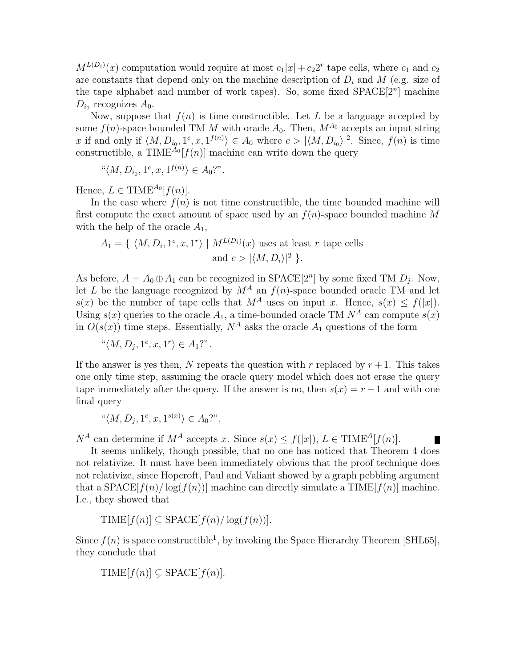$M^{L(D_i)}(x)$  computation would require at most  $c_1|x| + c_22^r$  tape cells, where  $c_1$  and  $c_2$ are constants that depend only on the machine description of  $D_i$  and M (e.g. size of the tape alphabet and number of work tapes). So, some fixed  $SPACE[2<sup>n</sup>]$  machine  $D_{i_0}$  recognizes  $A_0$ .

Now, suppose that  $f(n)$  is time constructible. Let L be a language accepted by some  $f(n)$ -space bounded TM M with oracle  $A_0$ . Then,  $M^{A_0}$  accepts an input string x if and only if  $\langle M, D_{i_0}, 1^c, x, 1^{f(n)} \rangle \in A_0$  where  $c > |\langle M, D_{i_0} \rangle|^2$ . Since,  $f(n)$  is time constructible, a TIME<sup> $A_0$ </sup>[ $f(n)$ ] machine can write down the query

$$
``\langle M, D_{i_0}, 1^c, x, 1^{f(n)} \rangle \in A_0?".
$$

Hence,  $L \in TIME^{A_0}[f(n)]$ .

In the case where  $f(n)$  is not time constructible, the time bounded machine will first compute the exact amount of space used by an  $f(n)$ -space bounded machine M with the help of the oracle  $A_1$ ,

$$
A_1 = \{ \langle M, D_i, 1^c, x, 1^r \rangle \mid M^{L(D_i)}(x) \text{ uses at least } r \text{ tape cells} \}
$$
  
and 
$$
c > |\langle M, D_i \rangle|^2 \}.
$$

As before,  $A = A_0 \oplus A_1$  can be recognized in SPACE[2<sup>n</sup>] by some fixed TM  $D_j$ . Now, let L be the language recognized by  $M^A$  an  $f(n)$ -space bounded oracle TM and let  $s(x)$  be the number of tape cells that  $M^A$  uses on input x. Hence,  $s(x) \leq f(|x|)$ . Using  $s(x)$  queries to the oracle  $A_1$ , a time-bounded oracle TM  $N^A$  can compute  $s(x)$ in  $O(s(x))$  time steps. Essentially,  $N^A$  asks the oracle  $A_1$  questions of the form

$$
``\langle M, D_j, 1^c, x, 1^r \rangle \in A_1?"
$$

If the answer is yes then, N repeats the question with r replaced by  $r+1$ . This takes one only time step, assuming the oracle query model which does not erase the query tape immediately after the query. If the answer is no, then  $s(x) = r - 1$  and with one final query

$$
\mathbf{``}\langle M, D_j, 1^c, x, 1^{s(x)} \rangle \in A_0?",
$$

 $N^A$  can determine if  $M^A$  accepts x. Since  $s(x) \le f(|x|)$ ,  $L \in \text{TIME}^A[f(n)]$ .

It seems unlikely, though possible, that no one has noticed that Theorem 4 does not relativize. It must have been immediately obvious that the proof technique does not relativize, since Hopcroft, Paul and Valiant showed by a graph pebbling argument that a SPACE $[f(n)/\log(f(n))]$  machine can directly simulate a TIME $[f(n)]$  machine. I.e., they showed that

$$
\text{TIME}[f(n)] \subseteq \text{SPACE}[f(n) / \log(f(n))].
$$

Since  $f(n)$  is space constructible<sup>1</sup>, by invoking the Space Hierarchy Theorem [SHL65], they conclude that

$$
\text{TIME}[f(n)] \subsetneq \text{SPACE}[f(n)].
$$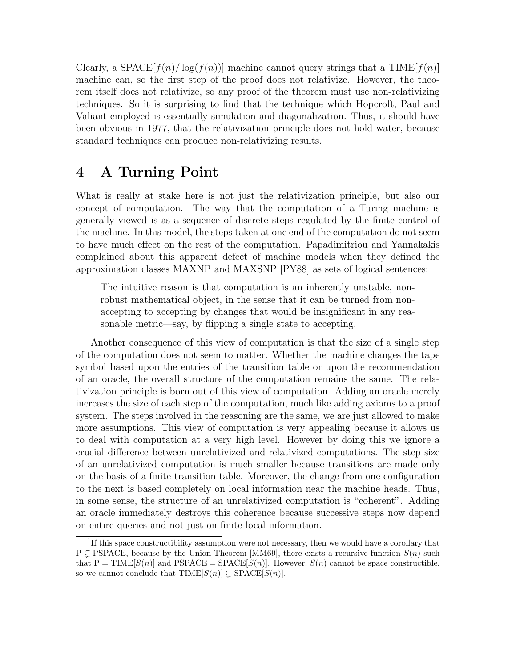Clearly, a SPACE $[f(n)/\log(f(n))]$  machine cannot query strings that a TIME $[f(n)]$ machine can, so the first step of the proof does not relativize. However, the theorem itself does not relativize, so any proof of the theorem must use non-relativizing techniques. So it is surprising to find that the technique which Hopcroft, Paul and Valiant employed is essentially simulation and diagonalization. Thus, it should have been obvious in 1977, that the relativization principle does not hold water, because standard techniques can produce non-relativizing results.

# 4 A Turning Point

What is really at stake here is not just the relativization principle, but also our concept of computation. The way that the computation of a Turing machine is generally viewed is as a sequence of discrete steps regulated by the finite control of the machine. In this model, the steps taken at one end of the computation do not seem to have much effect on the rest of the computation. Papadimitriou and Yannakakis complained about this apparent defect of machine models when they defined the approximation classes MAXNP and MAXSNP [PY88] as sets of logical sentences:

The intuitive reason is that computation is an inherently unstable, nonrobust mathematical object, in the sense that it can be turned from nonaccepting to accepting by changes that would be insignificant in any reasonable metric—say, by flipping a single state to accepting.

Another consequence of this view of computation is that the size of a single step of the computation does not seem to matter. Whether the machine changes the tape symbol based upon the entries of the transition table or upon the recommendation of an oracle, the overall structure of the computation remains the same. The relativization principle is born out of this view of computation. Adding an oracle merely increases the size of each step of the computation, much like adding axioms to a proof system. The steps involved in the reasoning are the same, we are just allowed to make more assumptions. This view of computation is very appealing because it allows us to deal with computation at a very high level. However by doing this we ignore a crucial difference between unrelativized and relativized computations. The step size of an unrelativized computation is much smaller because transitions are made only on the basis of a finite transition table. Moreover, the change from one configuration to the next is based completely on local information near the machine heads. Thus, in some sense, the structure of an unrelativized computation is "coherent". Adding an oracle immediately destroys this coherence because successive steps now depend on entire queries and not just on finite local information.

<sup>&</sup>lt;sup>1</sup>If this space constructibility assumption were not necessary, then we would have a corollary that  $P \subseteq PSPACE$ , because by the Union Theorem [MM69], there exists a recursive function  $S(n)$  such that  $P = TIME[S(n)]$  and  $PSPACE = SPACE[S(n)]$ . However,  $S(n)$  cannot be space constructible, so we cannot conclude that  $TIME[S(n)] \subsetneq SPACE[S(n)].$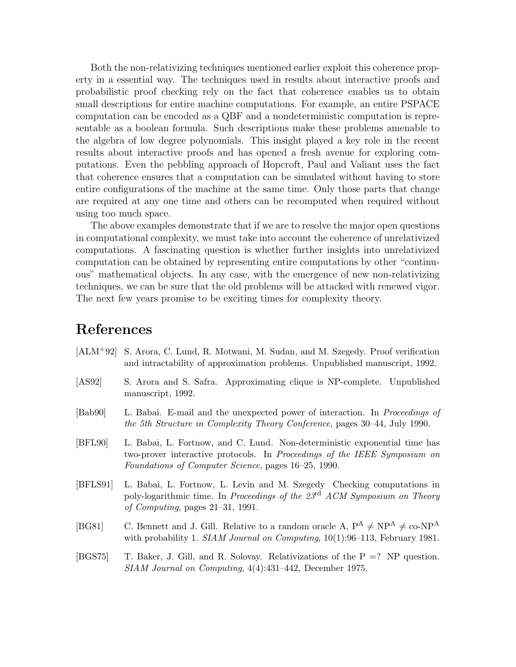Both the non-relativizing techniques mentioned earlier exploit this coherence property in a essential way. The techniques used in results about interactive proofs and probabilistic proof checking rely on the fact that coherence enables us to obtain small descriptions for entire machine computations. For example, an entire PSPACE computation can be encoded as a QBF and a nondeterministic computation is representable as a boolean formula. Such descriptions make these problems amenable to the algebra of low degree polynomials. This insight played a key role in the recent results about interactive proofs and has opened a fresh avenue for exploring computations. Even the pebbling approach of Hopcroft, Paul and Valiant uses the fact that coherence ensures that a computation can be simulated without having to store entire configurations of the machine at the same time. Only those parts that change are required at any one time and others can be recomputed when required without using too much space.

The above examples demonstrate that if we are to resolve the major open questions in computational complexity, we must take into account the coherence of unrelativized computations. A fascinating question is whether further insights into unrelativized computation can be obtained by representing entire computations by other "continuous" mathematical objects. In any case, with the emergence of new non-relativizing techniques, we can be sure that the old problems will be attacked with renewed vigor. The next few years promise to be exciting times for complexity theory.

### References

- [ALM+92] S. Arora, C. Lund, R. Motwani, M. Sudan, and M. Szegedy. Proof verification and intractability of approximation problems. Unpublished manuscript, 1992.
- [AS92] S. Arora and S. Safra. Approximating clique is NP-complete. Unpublished manuscript, 1992.
- [Bab90] L. Babai. E-mail and the unexpected power of interaction. In Proceedings of the 5th Structure in Complexity Theory Conference, pages 30–44, July 1990.
- [BFL90] L. Babai, L. Fortnow, and C. Lund. Non-deterministic exponential time has two-prover interactive protocols. In Proceedings of the IEEE Symposium on Foundations of Computer Science, pages 16–25, 1990.
- [BFLS91] L. Babai, L. Fortnow, L. Levin and M. Szegedy Checking computations in poly-logarithmic time. In Proceedings of the  $23<sup>rd</sup>$  ACM Symposium on Theory of Computing, pages 21–31, 1991.
- [BG81] C. Bennett and J. Gill. Relative to a random oracle A,  $P^A \neq NP^A \neq co-NP^A$ with probability 1. SIAM Journal on Computing, 10(1):96-113, February 1981.
- [BGS75] T. Baker, J. Gill, and R. Solovay. Relativizations of the P =? NP question. SIAM Journal on Computing, 4(4):431–442, December 1975.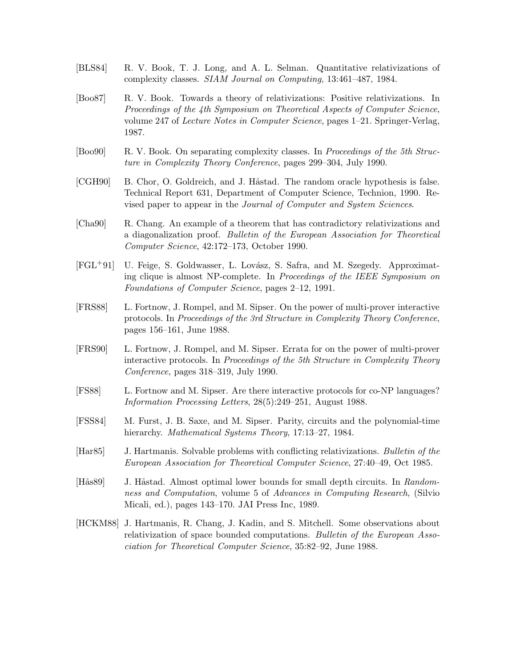- [BLS84] R. V. Book, T. J. Long, and A. L. Selman. Quantitative relativizations of complexity classes. SIAM Journal on Computing, 13:461–487, 1984.
- [Boo87] R. V. Book. Towards a theory of relativizations: Positive relativizations. In Proceedings of the 4th Symposium on Theoretical Aspects of Computer Science, volume 247 of Lecture Notes in Computer Science, pages 1–21. Springer-Verlag, 1987.
- [Boo90] R. V. Book. On separating complexity classes. In Proceedings of the 5th Structure in Complexity Theory Conference, pages 299–304, July 1990.
- [CGH90] B. Chor, O. Goldreich, and J. Håstad. The random oracle hypothesis is false. Technical Report 631, Department of Computer Science, Technion, 1990. Revised paper to appear in the Journal of Computer and System Sciences.
- [Cha90] R. Chang. An example of a theorem that has contradictory relativizations and a diagonalization proof. Bulletin of the European Association for Theoretical Computer Science, 42:172–173, October 1990.
- [FGL<sup>+</sup>91] U. Feige, S. Goldwasser, L. Lovász, S. Safra, and M. Szegedy. Approximating clique is almost NP-complete. In Proceedings of the IEEE Symposium on Foundations of Computer Science, pages 2–12, 1991.
- [FRS88] L. Fortnow, J. Rompel, and M. Sipser. On the power of multi-prover interactive protocols. In Proceedings of the 3rd Structure in Complexity Theory Conference, pages 156–161, June 1988.
- [FRS90] L. Fortnow, J. Rompel, and M. Sipser. Errata for on the power of multi-prover interactive protocols. In Proceedings of the 5th Structure in Complexity Theory Conference, pages 318–319, July 1990.
- [FS88] L. Fortnow and M. Sipser. Are there interactive protocols for co-NP languages? Information Processing Letters, 28(5):249–251, August 1988.
- [FSS84] M. Furst, J. B. Saxe, and M. Sipser. Parity, circuits and the polynomial-time hierarchy. Mathematical Systems Theory, 17:13-27, 1984.
- [Har85] J. Hartmanis. Solvable problems with conflicting relativizations. Bulletin of the European Association for Theoretical Computer Science, 27:40–49, Oct 1985.
- [Hås89] J. Håstad. Almost optimal lower bounds for small depth circuits. In Randomness and Computation, volume 5 of Advances in Computing Research, (Silvio Micali, ed.), pages 143–170. JAI Press Inc, 1989.
- [HCKM88] J. Hartmanis, R. Chang, J. Kadin, and S. Mitchell. Some observations about relativization of space bounded computations. Bulletin of the European Association for Theoretical Computer Science, 35:82–92, June 1988.